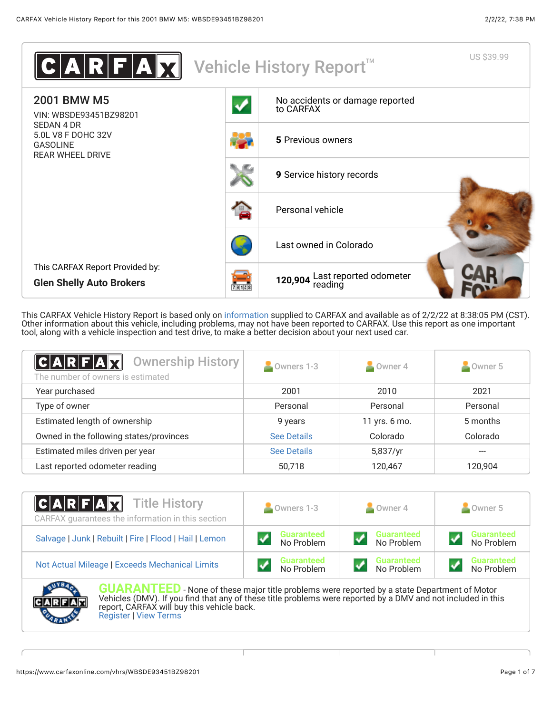

This CARFAX Vehicle History Report is based only on [information](http://www.carfax.com/company/vhr-data-sources) supplied to CARFAX and available as of 2/2/22 at 8:38:05 PM (CST). Other information about this vehicle, including problems, may not have been reported to CARFAX. Use this report as one important tool, along with a vehicle inspection and test drive, to make a better decision about your next used car.

<span id="page-0-0"></span>

| $C A R F A \overline{M}$<br><b>Ownership History</b><br>The number of owners is estimated | Owners 1-3         | $\sim$ Owner 4 | Owner 5  |
|-------------------------------------------------------------------------------------------|--------------------|----------------|----------|
| Year purchased                                                                            | 2001               | 2010           | 2021     |
| Type of owner                                                                             | Personal           | Personal       | Personal |
| Estimated length of ownership                                                             | 9 years            | 11 yrs. 6 mo.  | 5 months |
| Owned in the following states/provinces                                                   | <b>See Details</b> | Colorado       | Colorado |
| Estimated miles driven per year                                                           | <b>See Details</b> | 5,837/yr       |          |
| Last reported odometer reading                                                            | 50,718             | 120,467        | 120,904  |

| <b>CARFAX</b> Title History<br>CARFAX guarantees the information in this section | Owners 1-3                      | $\blacksquare$ Owner 4          | Owner 5                         |  |
|----------------------------------------------------------------------------------|---------------------------------|---------------------------------|---------------------------------|--|
| Salvage   Junk   Rebuilt   Fire   Flood   Hail   Lemon                           | <b>Guaranteed</b><br>No Problem | <b>Guaranteed</b><br>No Problem | <b>Guaranteed</b><br>No Problem |  |
| Not Actual Mileage   Exceeds Mechanical Limits                                   | <b>Guaranteed</b><br>No Problem | <b>Guaranteed</b><br>No Problem | <b>Guaranteed</b><br>No Problem |  |



**GUARANTEED** - None of these major title problems were reported by a state Department of Motor Vehicles (DMV). If you find that any of these title problems were reported by a DMV and not included in this report, CARFAX will buy this vehicle back. [Register](https://www.carfax.com/Service/bbg) | [View Terms](http://www.carfaxonline.com/legal/bbgTerms)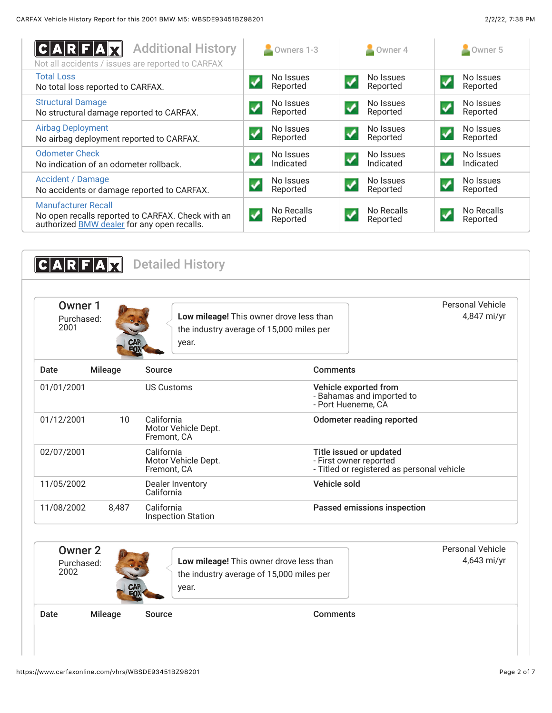<span id="page-1-0"></span>

| C A R F A X<br><b>Additional History</b><br>Not all accidents / issues are reported to CARFAX                                         | Owners 1-3             | Owner 4                                             | Owner 5                |
|---------------------------------------------------------------------------------------------------------------------------------------|------------------------|-----------------------------------------------------|------------------------|
| <b>Total Loss</b><br>No total loss reported to CARFAX.                                                                                | No Issues<br>Reported  | No Issues<br>Reported                               | No Issues<br>Reported  |
| <b>Structural Damage</b><br>No structural damage reported to CARFAX.                                                                  | No Issues<br>Reported  | No Issues<br>Reported                               | No Issues<br>Reported  |
| <b>Airbag Deployment</b><br>No airbag deployment reported to CARFAX.                                                                  | No Issues<br>Reported  | No Issues<br>$\boldsymbol{\mathcal{N}}$<br>Reported | No Issues<br>Reported  |
| <b>Odometer Check</b><br>No indication of an odometer rollback.                                                                       | No Issues<br>Indicated | No Issues<br>$\blacktriangledown$<br>Indicated      | No Issues<br>Indicated |
| <b>Accident / Damage</b><br>No accidents or damage reported to CARFAX.                                                                | No Issues<br>Reported  | No Issues<br>Reported                               | No Issues<br>Reported  |
| <b>Manufacturer Recall</b><br>No open recalls reported to CARFAX. Check with an<br>authorized <b>BMW</b> dealer for any open recalls. | No Recalls<br>Reported | No Recalls<br>Reported                              | No Recalls<br>Reported |

<span id="page-1-2"></span><span id="page-1-1"></span>

| Owner 1<br>Purchased:<br>2001 |                | Low mileage! This owner drove less than<br>the industry average of 15,000 miles per<br>year. |                                                                          | <b>Personal Vehicle</b><br>4,847 mi/yr     |
|-------------------------------|----------------|----------------------------------------------------------------------------------------------|--------------------------------------------------------------------------|--------------------------------------------|
| Date                          | <b>Mileage</b> | Source                                                                                       | <b>Comments</b>                                                          |                                            |
| 01/01/2001                    |                | <b>US Customs</b>                                                                            | Vehicle exported from<br>- Bahamas and imported to<br>- Port Hueneme, CA |                                            |
| 01/12/2001                    | 10             | California<br>Motor Vehicle Dept.<br>Fremont, CA                                             | <b>Odometer reading reported</b>                                         |                                            |
| 02/07/2001                    |                | California<br>Motor Vehicle Dept.<br>Fremont, CA                                             | Title issued or updated<br>- First owner reported                        | - Titled or registered as personal vehicle |
| 11/05/2002                    |                | Dealer Inventory<br>California                                                               | Vehicle sold                                                             |                                            |
| 11/08/2002                    | 8,487          | California<br><b>Inspection Station</b>                                                      | Passed emissions inspection                                              |                                            |
| Owner <sub>2</sub>            |                |                                                                                              |                                                                          | <b>Personal Vehicle</b>                    |
| Purchased:<br>2002            |                | Low mileage! This owner drove less than<br>the industry average of 15,000 miles per<br>year. |                                                                          | 4,643 mi/yr                                |
| Date                          | <b>Mileage</b> | Source                                                                                       | <b>Comments</b>                                                          |                                            |

https://www.carfaxonline.com/vhrs/WBSDE93451BZ98201 Page 2 of 7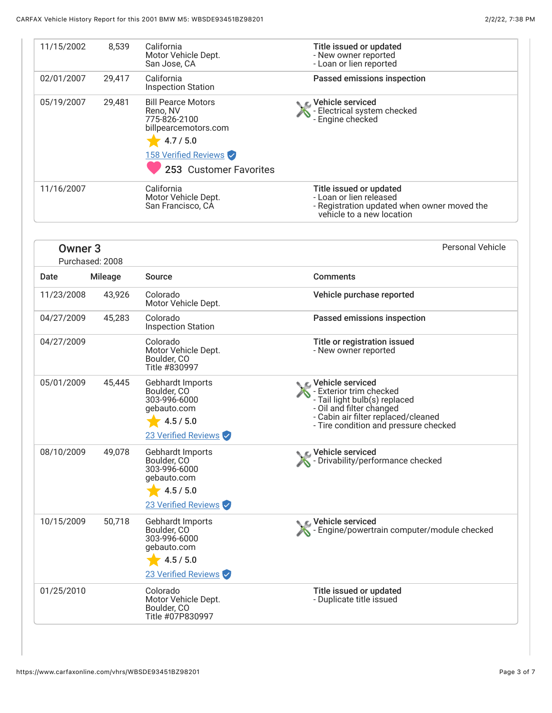| 11/15/2002         | 8,539           | California<br>Motor Vehicle Dept.<br>San Jose, CA                                                                                            | Title issued or updated<br>- New owner reported<br>- Loan or lien reported                                                                                                                 |
|--------------------|-----------------|----------------------------------------------------------------------------------------------------------------------------------------------|--------------------------------------------------------------------------------------------------------------------------------------------------------------------------------------------|
| 02/01/2007         | 29,417          | California<br><b>Inspection Station</b>                                                                                                      | Passed emissions inspection                                                                                                                                                                |
| 05/19/2007         | 29,481          | <b>Bill Pearce Motors</b><br>Reno, NV<br>775-826-2100<br>billpearcemotors.com<br>4.7 / 5.0<br>158 Verified Reviews<br>253 Customer Favorites | C Vehicle serviced<br>- Electrical system checked<br>- Engine checked                                                                                                                      |
| 11/16/2007         |                 | California<br>Motor Vehicle Dept.<br>San Francisco, CA                                                                                       | Title issued or updated<br>- Loan or lien released<br>- Registration updated when owner moved the<br>vehicle to a new location                                                             |
| Owner <sub>3</sub> | Purchased: 2008 |                                                                                                                                              | <b>Personal Vehicle</b>                                                                                                                                                                    |
| Date               | <b>Mileage</b>  | <b>Source</b>                                                                                                                                | <b>Comments</b>                                                                                                                                                                            |
| 11/23/2008         | 43,926          | Colorado<br>Motor Vehicle Dept.                                                                                                              | Vehicle purchase reported                                                                                                                                                                  |
| 04/27/2009         | 45,283          | Colorado<br><b>Inspection Station</b>                                                                                                        | Passed emissions inspection                                                                                                                                                                |
| 04/27/2009         |                 | Colorado<br>Motor Vehicle Dept.<br>Boulder, CO<br>Title #830997                                                                              | Title or registration issued<br>- New owner reported                                                                                                                                       |
| 05/01/2009         | 45,445          | Gebhardt Imports<br>Boulder, CO<br>303-996-6000<br>gebauto.com<br>4.5 / 5.0<br>23 Verified Reviews                                           | C Vehicle serviced<br>- Exterior trim checked<br>- Tail light bulb(s) replaced<br>- Oil and filter changed<br>- Cabin air filter replaced/cleaned<br>- Tire condition and pressure checked |
| 08/10/2009         | 49,078          | Gebhardt Imports<br>Boulder, CO<br>303-996-6000<br>gebauto.com<br>4.5 / 5.0<br>23 Verified Reviews                                           | Vehicle serviced<br>The Drivability/performance checked                                                                                                                                    |
| 10/15/2009         | 50,718          | Gebhardt Imports<br>Boulder, CO<br>303-996-6000<br>gebauto.com<br>4.5 / 5.0<br>23 Verified Reviews                                           | Vehicle serviced<br>Engine/powertrain computer/module checked                                                                                                                              |
| 01/25/2010         |                 | Colorado<br>Motor Vehicle Dept.<br>Boulder, CO<br>Title #07P830997                                                                           | Title issued or updated<br>- Duplicate title issued                                                                                                                                        |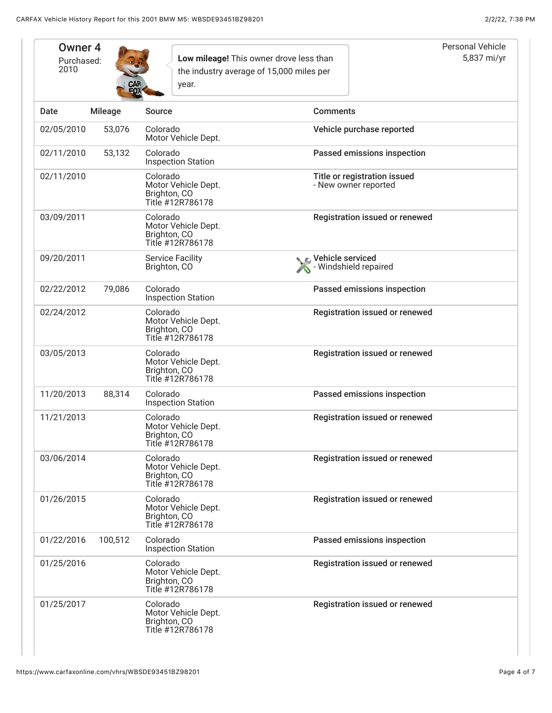| Owner <sub>4</sub><br>Purchased:<br>2010 |                | year.                                                               | Low mileage! This owner drove less than<br>the industry average of 15,000 miles per | Personal Vehicle<br>5,837 mi/yr |
|------------------------------------------|----------------|---------------------------------------------------------------------|-------------------------------------------------------------------------------------|---------------------------------|
| Date                                     | <b>Mileage</b> | <b>Source</b>                                                       | <b>Comments</b>                                                                     |                                 |
| 02/05/2010                               | 53,076         | Colorado<br>Motor Vehicle Dept.                                     | Vehicle purchase reported                                                           |                                 |
| 02/11/2010                               | 53,132         | Colorado<br><b>Inspection Station</b>                               | Passed emissions inspection                                                         |                                 |
| 02/11/2010                               |                | Colorado<br>Motor Vehicle Dept.<br>Brighton, CO<br>Title #12R786178 | Title or registration issued<br>- New owner reported                                |                                 |
| 03/09/2011                               |                | Colorado<br>Motor Vehicle Dept.<br>Brighton, CO<br>Title #12R786178 | Registration issued or renewed                                                      |                                 |
| 09/20/2011                               |                | <b>Service Facility</b><br>Brighton, CO                             | Vehicle serviced<br>- Windshield repaired                                           |                                 |
| 02/22/2012                               | 79,086         | Colorado<br><b>Inspection Station</b>                               | Passed emissions inspection                                                         |                                 |
| 02/24/2012                               |                | Colorado<br>Motor Vehicle Dept.<br>Brighton, CO<br>Title #12R786178 | Registration issued or renewed                                                      |                                 |
| 03/05/2013                               |                | Colorado<br>Motor Vehicle Dept.<br>Brighton, CO<br>Title #12R786178 | Registration issued or renewed                                                      |                                 |
| 11/20/2013                               | 88,314         | Colorado<br><b>Inspection Station</b>                               | Passed emissions inspection                                                         |                                 |
| 11/21/2013                               |                | Colorado<br>Motor Vehicle Dept.<br>Brighton, CO<br>Title #12R786178 | Registration issued or renewed                                                      |                                 |
| 03/06/2014                               |                | Colorado<br>Motor Vehicle Dept.<br>Brighton, CO<br>Title #12R786178 | Registration issued or renewed                                                      |                                 |
| 01/26/2015                               |                | Colorado<br>Motor Vehicle Dept.<br>Brighton, CO<br>Title #12R786178 | Registration issued or renewed                                                      |                                 |
| 01/22/2016                               | 100,512        | Colorado<br><b>Inspection Station</b>                               | Passed emissions inspection                                                         |                                 |
| 01/25/2016                               |                | Colorado<br>Motor Vehicle Dept.<br>Brighton, CO<br>Title #12R786178 | Registration issued or renewed                                                      |                                 |
| 01/25/2017                               |                | Colorado<br>Motor Vehicle Dept.<br>Brighton, CO<br>Title #12R786178 | Registration issued or renewed                                                      |                                 |

I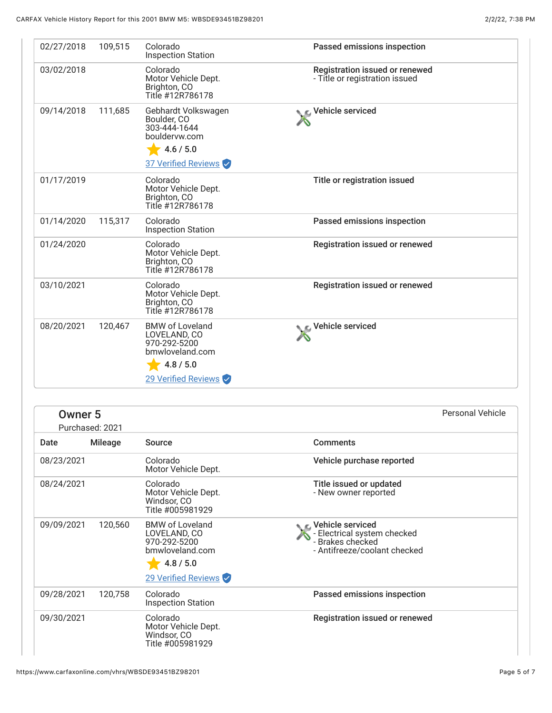| 02/27/2018 | 109,515 | Colorado<br><b>Inspection Station</b>                                                                         | Passed emissions inspection                                      |
|------------|---------|---------------------------------------------------------------------------------------------------------------|------------------------------------------------------------------|
| 03/02/2018 |         | Colorado<br>Motor Vehicle Dept.<br>Brighton, CO<br>Title #12R786178                                           | Registration issued or renewed<br>- Title or registration issued |
| 09/14/2018 | 111,685 | Gebhardt Volkswagen<br>Boulder, CO<br>303-444-1644<br>bouldervw.com<br>4.6 / 5.0<br>37 Verified Reviews       | C Vehicle serviced                                               |
| 01/17/2019 |         | Colorado<br>Motor Vehicle Dept.<br>Brighton, CO<br>Title #12R786178                                           | Title or registration issued                                     |
| 01/14/2020 | 115,317 | Colorado<br><b>Inspection Station</b>                                                                         | Passed emissions inspection                                      |
| 01/24/2020 |         | Colorado<br>Motor Vehicle Dept.<br>Brighton, CO<br>Title #12R786178                                           | Registration issued or renewed                                   |
| 03/10/2021 |         | Colorado<br>Motor Vehicle Dept.<br>Brighton, CO<br>Title #12R786178                                           | Registration issued or renewed                                   |
| 08/20/2021 | 120,467 | <b>BMW of Loveland</b><br>LOVELAND, CO<br>970-292-5200<br>bmwloveland.com<br>4.8 / 5.0<br>29 Verified Reviews | C Vehicle serviced                                               |

|            | Owner <sub>5</sub><br>Purchased: 2021 |                                                                                                               |                                                                                                       | <b>Personal Vehicle</b> |
|------------|---------------------------------------|---------------------------------------------------------------------------------------------------------------|-------------------------------------------------------------------------------------------------------|-------------------------|
| Date       | <b>Mileage</b>                        | Source                                                                                                        | <b>Comments</b>                                                                                       |                         |
| 08/23/2021 |                                       | Colorado<br>Motor Vehicle Dept.                                                                               | Vehicle purchase reported                                                                             |                         |
| 08/24/2021 |                                       | Colorado<br>Motor Vehicle Dept.<br>Windsor, CO<br>Title #005981929                                            | Title issued or updated<br>- New owner reported                                                       |                         |
| 09/09/2021 | 120,560                               | <b>BMW of Loveland</b><br>LOVELAND, CO<br>970-292-5200<br>bmwloveland.com<br>4.8 / 5.0<br>29 Verified Reviews | C Vehicle serviced<br>- Electrical system checked<br>- Brakes checked<br>- Antifreeze/coolant checked |                         |
| 09/28/2021 | 120,758                               | Colorado                                                                                                      | Passed emissions inspection                                                                           |                         |
|            |                                       | <b>Inspection Station</b>                                                                                     |                                                                                                       |                         |
| 09/30/2021 |                                       | Colorado<br>Motor Vehicle Dept.<br>Windsor, CO<br>Title #005981929                                            | Registration issued or renewed                                                                        |                         |